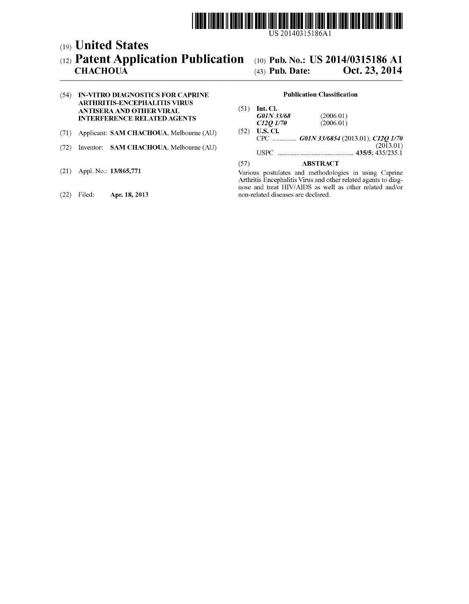

## (19) United States (12) Patent Application Publication (10) Pub. N0.: US 2014/0315186 A1

# CHACHOUA  $(43)$  Pub. Date: Oct. 23, 2014

### (54) IN-VITRO DIAGNOSTICS FOR CAPRINE Publication Classification ARTHRITIS-ENCEPHALITIS VIRUS

- 
- 
- 
- 

ANTISERA AND OTHER VIRAL (51) Int. Cl.<br>
INTERFERENCE RELATED AGENTS (2006.01)<br>  $C12Q$  1/70 (2006.01)  $C12Q\ 1/70$ <br>(52) U.S. Cl. (71) Applicant: SAM CHACHOUA, Melbourne (AU) (52) U.S. Cl.<br>CPC ............... G01N 33/6854 (2013.01); C12Q 1/70<br>(2013.01) (2013.01) (72) Inventor: SAM CHACHOUA, Melbourne (AU) (2013-01) USPC .......................................... .. 435/5; 435/235.1

### (57) ABSTRACT

(21) Appl. No.: 13/865,771 Various postulates and methodologies in using Caprine<br>Arthritis Encephalitis Virus and other related agents to diagnose and treat HIV/AIDS as well as other related and/or (22) Filed: Apr. 18, 2013 non-related diseases are declared.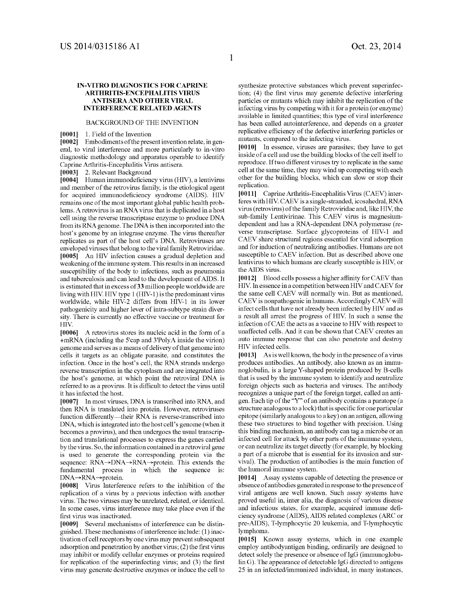#### IN-VITRO DIAGNOSTICS FOR CAPRINE ARTHRITIS-ENCEPHALITIS VIRUS ANTISERA AND OTHER VIRAL INTERFERENCE RELATED AGENTS

#### BACKGROUND OF THE INVENTION

[0001] 1. Field of the Invention

[0002] Embodiments of the present invention relate, in gen eral, to viral interference and more particularly to in-vitro diagnostic methodology and apparatus operable to identify Caprine Arthritis-Encephalitis Virus antisera.

[0003] 2. Relevant Background

[0004] Human immunodeficiency virus (HIV), a lentivirus and member of the retrovirus family, is the etiological agent for acquired immunodeficiency syndrome (AIDS). HIV remains one of the most important global public health prob lems. A retrovirus is an RNA virus that is duplicated in a host cell using the reverse transcriptase enzyme to produce DNA from its RNA genome. The DNA is then incorporated into the host's genome by an integrase enzyme. The virus thereafter replicates as part of the host cell's DNA. Retroviruses are enveloped viruses that belong to the viral family Retroviridae. [0005] An HIV infection causes a gradual depletion and weakening of the immune system. This results in an increased susceptibility of the body to infections, such as pneumonia and tuberculosis and can lead to the development of AIDS. It is estimated that in excess of 33 million people worldwide are living with HIV. HIV type 1 (HIV-1) is the predominant virus worldwide, while HIV-2 differs from HIV-1 in its lower pathogenicity and higher lever of intra-subtype strain diver sity. There is currently no effective vaccine or treatment for HIV.

[0006] A retrovirus stores its nucleic acid in the form of a +mRNA (including the 5'cap and 3'PolyA inside the virion) genome and serves as a means of delivery of that genome into cells it targets as an obligate parasite, and constitutes the infection. Once in the host's cell, the RNA strands undergo reverse transcription in the cytoplasm and are integrated into the host's genome, at which point the retroviral DNA is referred to as a provirus. It is difficult to detect the virus until it has infected the host.

[0007] In most viruses, DNA is transcribed into RNA, and then RNA is translated into protein. However, retroviruses function differently—their RNA is reverse-transcribed into DNA, which is integrated into the host cell's genome (when it becomes a provirus), and then undergoes the usual transcrip tion and translational processes to express the genes carried by the virus. So, the information contained in a retroviral gene is used to generate the corresponding protein via the sequence: RNA $\rightarrow$ DNA $\rightarrow$ RNA $\rightarrow$ protein. This extends the fundamental process in which the sequence is: DNA→RNA→protein.

[0008] Virus Interference refers to the inhibition of the replication of a virus by a previous infection with another virus. The two viruses may be unrelated, related, or identical. In some cases, virus interference may take place even if the first virus was inactivated.

[0009] Several mechanisms of interference can be distinguished. These mechanisms of interference include: (1) inac tivation of cell receptors by one virus may prevent subsequent adsorption and penetration by another virus;  $(2)$  the first virus may inhibit or modify cellular enzymes or proteins required for replication of the superinfecting virus; and  $(3)$  the first virus may generate destructive enzymes or induce the cell to synthesize protective substances which prevent superinfec tion; (4) the first virus may generate defective interfering particles or mutants which may inhibit the replication of the infecting virus by competing with it for a protein (or enzyme) available in limited quantities; this type of viral interference has been called autointerference, and depends on a greater replicative efficiency of the defective interfering particles or mutants, compared to the infecting virus.

[0010] In essence, viruses are parasites; they have to get inside of a cell and use the building blocks of the cell itself to reproduce. If two different viruses try to replicate in the same cell at the same time, they may wind up competing with each other for the building blocks, which can slow or stop their replication.

[0011] Caprine Arthritis-Encephalitis Virus (CAEV) inter feres with HIV. CAEV is a single-stranded, icosahedral, RNA virus (retrovirus) of the family Retroviridae and, like HIV, the sub-family Lentivirinae. This CAEV virus is magnesium dependent and has a RNA-dependent DNA polymerase (re verse transcriptase. Surface glycoproteins of HIV-1 and CAEV share structural regions essential for viral adsorption and for induction of neutralizing antibodies. Humans are not susceptible to CAEV infection. But as described above one lentivirus to which humans are clearly susceptible is HIV, or the AIDS virus.

 $[0012]$  Blood cells possess a higher affinity for CAEV than HIV. In essence in a competition between HIV and CAEV for the same cell CAEV will normally win. But as mentioned, CAEV is nonpathogenic in humans. Accordingly CAEV will infect cells that have not already been infected by HIV and as a result all arrest the progress of HIV. In such a sense the infection of CAE the acts as a vaccine to HIV with respect to unaffected cells. And it can be shown that CAEV creates an auto immune response that can also penetrate and destroy HIV infected cells.

[0013] As is well known, the body in the presence of a virus produces antibodies. An antibody, also known as an immu noglobulin, is a large Y-shaped protein produced by B-cells that is used by the immune system to identify and neutralize foreign objects such as bacteria and viruses. The antibody recognizes a unique part of the foreign target, called an anti gen. Each tip of the "Y" of an antibody contains a paratope (a structure analogous to a lock) that is specific for one particular epitope (similarly analogous to a key) on an antigen, allowing these two structures to bind together with precision. Using this binding mechanism, an antibody can tag a microbe or an infected cell for attack by other parts of the immune system, or can neutralize its target directly (for example, by blocking a part of a microbe that is essential for its invasion and sur vival). The production of antibodies is the main function of the humoral immune system.

[0014] Assay systems capable of detecting the presence or absence of antibodies generated in response to the presence of viral antigens are well known. Such assay systems have proved useful in, inter alia, the diagnosis of various disease and infectious states, for example, acquired immune deficiency syndrome (AIDS), AIDS related complexes (ARC or pre-AIDS), T-lymphocytic 20 leukemia, and T-lymphocytic lymphoma.

[0015] Known assay systems, which in one example employ antibodyantigen binding, ordinarily are designed to detect solely the presence or absence of IgG (immunoglobu lin G). The appearance of detectable IgG directed to antigens 25 in an infected/immunized individual, in many instances,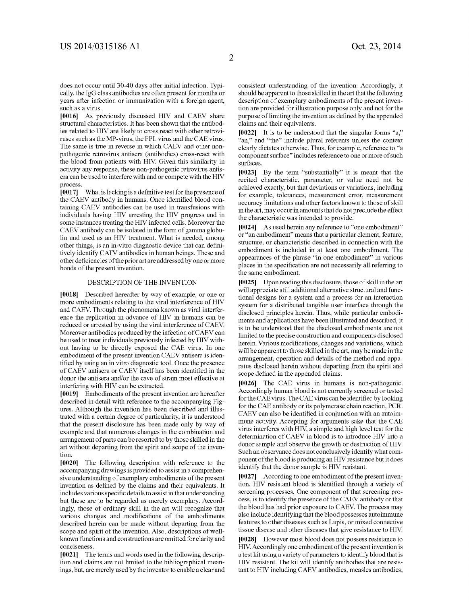does not occur until 30-40 days after initial infection. Typi cally, the IgG class antibodies are often present for months or years after infection or immunization with a foreign agent, such as a virus.

[0016] As previously discussed HIV and CAEV share structural characteristics. It has been shown that the antibod ies related to HIV are likely to cross react with other retrovi ruses such as the MP-virus, the FPL virus and the CAE virus. The same is true in reverse in which CAEV and other non pathogenic retrovirus antisera (antibodies) cross-react with the blood from patients with HIV. Given this similarity in activity any response, these non-pathogenic retrovirus antis era can be used to interfere with and or compete with the HIV process.

 $[0017]$  What is lacking is a definitive test for the presence of the CAEV antibody in humans. Once identified blood containing CAEV antibodies can be used in transfusions with individuals having HIV arresting the HIV progress and in some instances treating the HIV infected cells. Moreover the CAEV antibody can be isolated in the form of gamma globu lin and used as an HIV treatment. What is needed, among other things, is an in-vitro diagnostic device that can definitively identify CATV antibodies in human beings. These and other deficiencies of the prior art are addressed by one or more bonds of the present invention.

#### DESCRIPTION OF THE INVENTION

[0018] Described hereafter by way of example, or one or more embodiments relating to the viral interference of HIV and CAEV. Through the phenomena known as viral interfer ence the replication in advance of HIV in humans can be reduced or arrested by using the viral interference of CAEV. Moreover antibodies produced by the infection of CAEV can be used to treat individuals previously infected by HIV with out having to be directly exposed the CAE virus. In one embodiment of the present invention CAEV antisera is iden tified by using an in vitro diagnostic tool. Once the presence of CAEV antisera or CAEV itself has been identified in the donor the antisera and/or the cave of strain most effective at interfering with HIV can be extracted.

[0019] Embodiments of the present invention are hereafter described in detail with reference to the accompanying Fig ures. Although the invention has been described and illus trated with a certain degree of particularity, it is understood that the present disclosure has been made only by way of example and that numerous changes in the combination and arrangement of parts can be resorted to by those skilled in the art without departing from the spirit and scope of the inven tion.

[0020] The following description with reference to the accompanying drawings is provided to assist in a comprehen sive understanding of exemplary embodiments of the present invention as defined by the claims and their equivalents. It includes various specific details to assist in that understanding but these are to be regarded as merely exemplary. Accord ingly, those of ordinary skill in the art will recognize that various changes and modifications of the embodiments described herein can be made without departing from the scope and spirit of the invention. Also, descriptions of well known functions and constructions are omitted for clarity and conciseness.

[0021] The terms and words used in the following description and claims are not limited to the bibliographical mean ings, but, are merely used by the inventor to enable a clear and consistent understanding of the invention. Accordingly, it should be apparent to those skilled in the art that the following description of exemplary embodiments of the present inven tion are provided for illustration purpose only and not for the purpose of limiting the invention as defined by the appended claims and their equivalents.

 $[0022]$  It is to be understood that the singular forms "a," "an," and "the" include plural referents unless the context clearly dictates otherwise. Thus, for example, reference to "a component surface" includes reference to one or more of such surfaces.

[0023] By the term "substantially" it is meant that the recited characteristic, parameter, or value need not be achieved exactly, but that deviations or variations, including for example, tolerances, measurement error, measurement accuracy limitations and other factors known to those of skill in the art, may occur in amounts that do not preclude the effect the characteristic was intended to provide.

[0024] As used herein any reference to "one embodiment" or "an embodiment" means that a particular element, feature, structure, or characteristic described in connection with the embodiment is included in at least one embodiment. The appearances of the phrase "in one embodiment" in various places in the specification are not necessarily all referring to the same embodiment.

[0025] Upon reading this disclosure, those of skill in the art will appreciate still additional alternative structural and func tional designs for a system and a process for an interaction system for a distributed tangible user interface through the disclosed principles herein. Thus, while particular embodi ments and applications have been illustrated and described, it is to be understood that the disclosed embodiments are not limited to the precise construction and components disclosed herein. Various modifications, changes and variations, which will be apparent to those skilled in the art, may be made in the arrangement, operation and details of the method and appa ratus disclosed herein without departing from the spirit and scope defined in the appended claims.

[0026] The CAE virus in humans is non-pathogenic. Accordingly human blood is not currently screened or tested for the CAE virus. The CAE virus can be identified by looking for the CAE antibody or its polymerase chain reaction, PCR. CAEV can also be identified in conjunction with an autoimmune activity. Accepting for arguments sake that the CAE virus interferes with HIV, a simple and high level test for the determination of CAEV in blood is to introduce HIV into a donor sample and observe the growth or destruction of HIV. Such an observance does not conclusively identify what com ponent of the blood is producing an HIV resistance but it does identify that the donor sample is HIV resistant.

[0027] According to one embodiment of the present inven tion, HIV resistant blood is identified through a variety of screening processes. One component of that screening pro cess, is to identify the presence of the CAEV antibody or that the blood has had prior exposure to CAEV. The process may also include identifying that the blood possesses autoimmune features to other diseases such as Lupis, or mixed connective tissue disease and other diseases that give resistance to HIV.

[0028] However most blood does not possess resistance to HIV. Accordingly one embodiment of the present invention is a test kit using a variety of parameters to identify blood that is HIV resistant. The kit will identify antibodies that are resis tant to HIV including CAEV antibodies, measles antibodies,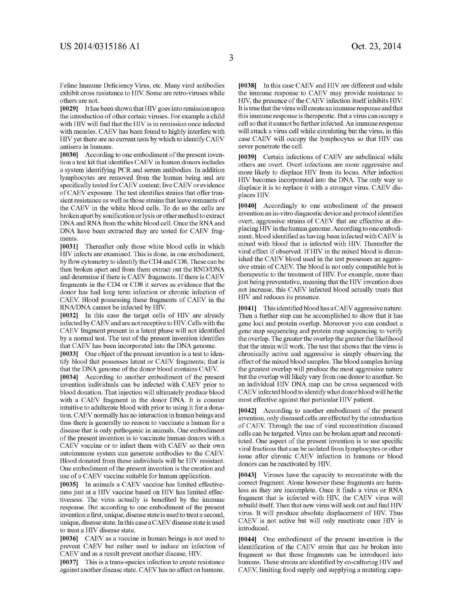Feline Immune Deficiency Virus, etc. Many viral antibodies exhibit cross resistance to HIV. Some are retro-viruses while others are not.

[0029] It has been shown that HIV goes into remission upon the introduction of other certain viruses. For example a child with HIV will find that the HIV is in remission once infected with measles. CAEV has been found to highly interfere with HIV yet there are no current tests by which to identify CAEV antisera in humans.

[0030] According to one embodiment of the present inven tion a test kit that identifies CAEV in human donors includes a system identifying PCR and serum antibodies. In addition lymphocytes are removed from the human being and are specifically tested for CAEV content; live CAEV or evidence of CAEV exposure. The test identifies strains that offer transient resistance as well as those strains that leave remnants of the CAEV in the white blood cells. To do so the cells are broken apart by sonification or lysis or other method to extract DNA and RNA from the white blood cell. Once the RNA and DNA have been extracted they are tested for CAEV frag ments.

[0031] Thereafter only those white blood cells in which HIV infects are examined. This is done, in one embodiment, by flow cytometry to identify the CD4 and CD8, These can be then broken apart and from them extract out the RND/DNA and determine if there is CAEV fragments. If there is CAEV fragments in the CD4 or CD8 it serves as evidence that the donor has had long term infection or chronic infection of CAEV Blood possessing these fragments of CAEV in the RNA/DNA cannot be infected by HIV.

[0032] In this case the target cells of HIV are already infected by CAEV and are not receptive to HIV. Cells with the CAEV fragment present in a latent phase will not identified by a normal test. The test of the present invention identifies that CAEV has been incorporated into the DNA genome.

[0033] One object of the present invention is a test to identify blood that possesses latent or CAEV fragments; that is that the DNA genome of the donor blood contains CAEV.

[0034] According to another embodiment of the present invention individuals can be infected with CAEV prior to blood donation. That injection will ultimately produce blood with a CAEV fragment in the donor DNA. It is counter intuitive to adulterate blood with prior to using it for a dona tion. CAEV normally has no interaction in human beings and thus there is generally no reason to vaccinate a human for a disease that is only pathogenic in animals. One embodiment of the present invention is to vaccinate human donors with a CAEV vaccine or to infect them with CAEV so their own autoimmune system can generate antibodies to the CAEV Blood donated from these individuals will be HIV resistant. One embodiment of the present invention is the creation and use of a CAEV vaccine suitable for human application.

[0035] In animals a CAEV vaccine has limited effectiveness just at a HIV vaccine based on HIV has limited effec tiveness. The virus actually is benefited by the immune response. But according to one embodiment of the present invention a first, unique, disease state is used to treat a second, unique, disease state. In this case a CAEV disease state is used to treat a HIV disease state.

[0036] CAEV as a vaccine in human beings is not used to prevent CAEV but rather used to induce an infection of CAEV and as a result prevent another disease, HIV.

[0037] This is a trans-species infection to create resistance against another disease state. CAEV has no affect on humans.

[0038] In this case CAEV and HIV are different and while the immune response to CAEV may provide resistance to HIV, the presence of the CAEV infection itself inhibits HIV. It is true that the virus will create an immune response and that this immune response is therapeutic. But a virus can occupy a cell so that it cannot be further infected. An immune response will attack a virus cell while circulating but the virus, in this case CAEV will occupy the lymphocytes so that HIV can never penetrate the cell.

[0039] Certain infections of CAEV are subclinical while others are overt. Overt infections are more aggressive and more likely to displace HIV from its locus. After infection HIV becomes incorporated into the DNA. The only way to displace it is to replace it with a stronger virus. CAEV dis places HIV.

[0040] Accordingly to one embodiment of the present invention an in-vitro diagnostic device and protocol identifies overt, aggressive strains of CAEV that are effective at dis placing HIV in the human genome. According to one embodi ment, blood identified as having been infected with CAEV is mixed with blood that is infected with HIV. Thereafter the viral effect if observed. If HIV in the mixed blood is dimin ished the CAEV blood used in the test possesses an aggres sive strain of CAEV. The blood is not only compatible but is therapeutic to the treatment of HIV. For example, more than just being preventative, meaning that the HIV invention does not increase, this CAEV infected blood actually treats that HIV and reduces its presence.

[0041] This identified blood has a CAEV aggressive nature. Then a further step can be accomplished to show that it has gene loci and protein overlap. Moreover you can conduct a gene map sequencing and protein map sequencing to verify the overlap. The greater the overlap the greater the likelihood that the strain will work. The test that shows that the virus is chronically active and aggressive is simply observing the effect of the mixed blood samples. The blood samples having the greatest overlap will produce the most aggressive nature but the overlap will likely vary from one donor to another. So an individual HIV DNA map can be cross sequenced with CAEV infected blood to identify what donor blood will be the most effective against that particular HIV patient.

[0042] According to another embodiment of the present invention, only diseased cells are effected by the introduction of CAEV. Through the use of viral reconstitution diseased cells can be targeted. Virus can be broken apart and reconsti tuted. One aspect of the present invention is to use specific viral fractions that can be isolated from lymphocytes or other issue after chronic CAEV infection in humans or blood donors can be reactivated by HIV.

[0043] Viruses have the capacity to reconstitute with the correct fragment. Alone however these fragments are harm less as they are incomplete. Once it finds a virus or RNA fragment that is infected with HIV, the CAEV virus will rebuild itself. Then that new virus will seek out and find HIV virus. It will produce absolute displacement of HIV. Thus CAEV is not active but will only reactivate once HIV is introduced.

[0044] One embodiment of the present invention is the identification of the CAEV strain that can be broken into fragment so that these fragments can be introduced into humans. These strains are identified by co-culturing HIV and CAEV, limiting food supply and supplying a mutating capa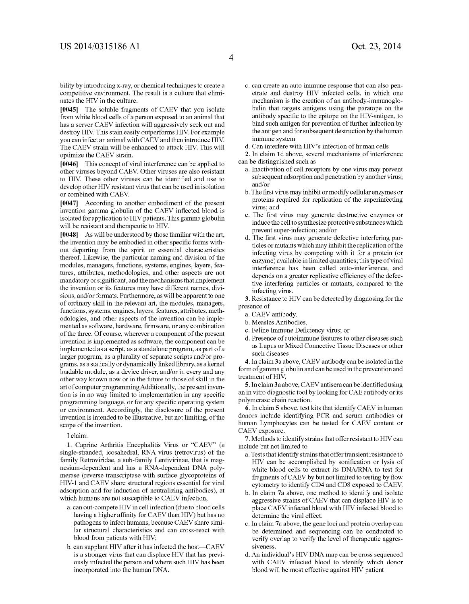bility by introducing x-ray, or chemical techniques to create a competitive environment. The result is a culture that elimi nates the HIV in the culture.

[0045] The soluble fragments of CAEV that you isolate from white blood cells of a person exposed to an animal that has a server CAEV infection will aggressively seek out and destroy HIV. This stain easily outperforms HIV. For example you can infect an animal with CAEV and then introduce HIV. The CAEV strain will be enhanced to attack HIV. This will optimize the CAEV strain.

[0046] This concept of viral interference can be applied to other viruses beyond CAEV. Other viruses are also resistant to HIV. These other viruses can be identified and use to develop other HIV resistant virus that can be used in isolation or combined with CAEV

[0047] According to another embodiment of the present invention gamma globulin of the CAEV inflected blood is isolated for application to HIV patients. This gamma globulin will be resistant and therapeutic to HIV.

[0048] As will be understood by those familiar with the art, the invention may be embodied in other specific forms without departing from the spirit or essential characteristics thereof. Likewise, the particular naming and division of the modules, managers, functions, systems, engines, layers, fea tures, attributes, methodologies, and other aspects are not mandatory or significant, and the mechanisms that implement the invention or its features may have different names, divi sions, and/or formats. Furthermore, as will be apparent to one of ordinary skill in the relevant art, the modules, managers, functions, systems, engines, layers, features, attributes, meth odologies, and other aspects of the invention can be imple mented as software, hardware, firmware, or any combination of the three. Of course, wherever a component of the present invention is implemented as software, the component can be implemented as a script, as a standalone program, as part of a larger program, as a plurality of separate scripts and/or pro grams, as a statically or dynamically linked library, as a kernel loadable module, as a device driver, and/or in every and any other way known now or in the future to those of skill in the art of computer programming Additionally, the present inven tion is in no way limited to implementation in any specific programming language, or for any specific operating system or environment. Accordingly, the disclosure of the present invention is intended to be illustrative, but not limiting, of the scope of the invention.

I claim:

1. Caprine Arthritis Encephalitis Virus or "CAEV" (a single-stranded, icosahedral, RNA virus (retrovirus) of the family Retroviridae, a sub-family Lentivirinae, that is mag nesium-dependent and has a RNA-dependent DNA poly merase (reverse transcriptase with surface glycoproteins of HIV-1 and CAEV share structural regions essential for viral adsorption and for induction of neutralizing antibodies), at which humans are not susceptible to CAEV infection,

- a. can out-compete HIV in cell infection (due to blood cells having a higher affinity for CAEV than HIV) but has no pathogens to infect humans, because CAEV share simi lar structural characteristics and can cross-react with blood from patients with HIV;
- b. can supplant HIV after it has infected the host-CAEV is a stronger virus that can displace HIV that has previ ously infected the person and where such HIV has been incorporated into the human DNA.
- c. can create an auto immune response that can also pen etrate and destroy HIV infected cells, in which one mechanism is the creation of an antibody-immunoglo bulin that targets antigens using the paratope on the antibody specific to the epitope on the HIV-antigen, to bind such antigen for prevention of further infection by the antigen and for subsequent destruction by the human immune system
- d. Can interfere with HIV's infection of human cells

2. In claim 1d above, several mechanisms of interference can be distinguished such as

- a. Inactivation of cell receptors by one virus may prevent subsequent adsorption and penetration by another virus; and/or
- b. The first virus may inhibit or modify cellular enzymes or proteins required for replication of the superinfecting virus; and<br>c. The first virus may generate destructive enzymes or
- induce the cell to synthesize protective sub stances which prevent super-infection; and/or
- d. The first virus may generate defective interfering particles or mutants which may inhibit the replication of the infecting virus by competing with it for a protein (or enzyme) available in limited quantities; this type of viral interference has been called auto-interference, and depends on a greater replicative efficiency of the defective interfering particles or mutants, compared to the infecting virus.

3. Resistance to HIV can be detected by diagnosing for the presence of

a. CAEV antibody,

- b. Measles Antibodies,
- c. Feline Immune Deficiency virus; or
- d. Presence of autoimmune features to other diseases such as Lupus or Mixed Connective Tissue Diseases or other such diseases

4. In claim 3a above, CAEV antibody can be isolated in the form of gamma globulin and can be used in the prevention and treatment of HIV.

5. In claim 3a above, CAEV antisera can be identified using an in vitro diagnostic tool by looking for CAE antibody or its polymerase chain reaction.

6. In claim 5 above, test kits that identify CAEV in human donors include identifying PCR and serum antibodies or human Lymphocytes can be tested for CAEV content or CAEV exposure.

7. Methods to identify strains that offer resistant to HIV can include but not limited to

- a. Tests that identify strains that offer transient resistance to HIV can be accomplished by sonification or lysis of white blood cells to extract its DNA/RNA to test for fragments of CAEV by but not limited to testing by flow cytometry to identify CD4 and CD8 exposed to CAEV
- b. In claim 7a above, one method to identify and isolate aggressive strains of CAEV that can displace HIV is to place CAEV infected blood with HIV infected blood to determine the viral effect.
- c. In claim 7a above, the gene loci and protein overlap can be determined and sequencing can be conducted to verify overlap to verify the level of therapeutic aggres siveness.
- d. An individual's HIV DNA map can be cross sequenced with CAEV infected blood to identify which donor blood will be most effective against HIV patient